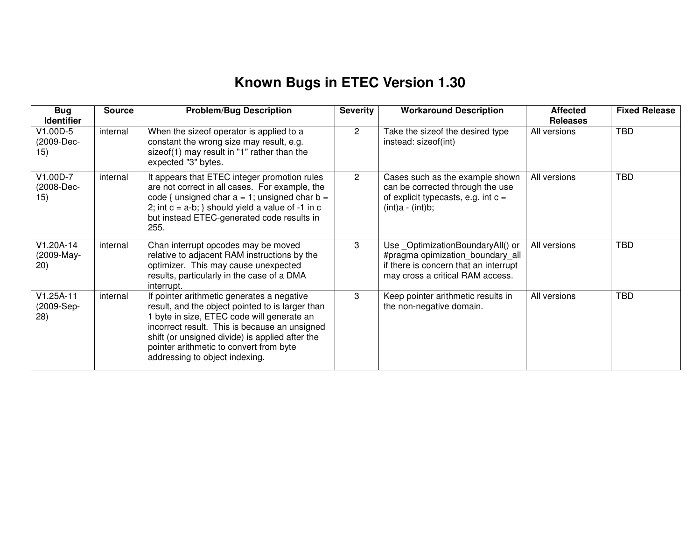## **Known Bugs in ETEC Version 1.30**

| <b>Bug</b><br><b>Identifier</b>   | <b>Source</b> | <b>Problem/Bug Description</b>                                                                                                                                                                                                                                                                                                | <b>Severity</b> | <b>Workaround Description</b>                                                                                                                     | <b>Affected</b><br><b>Releases</b> | <b>Fixed Release</b> |
|-----------------------------------|---------------|-------------------------------------------------------------------------------------------------------------------------------------------------------------------------------------------------------------------------------------------------------------------------------------------------------------------------------|-----------------|---------------------------------------------------------------------------------------------------------------------------------------------------|------------------------------------|----------------------|
| V1.00D-5<br>(2009-Dec-<br>15)     | internal      | When the sizeof operator is applied to a<br>constant the wrong size may result, e.g.<br>sizeof(1) may result in "1" rather than the<br>expected "3" bytes.                                                                                                                                                                    | $\overline{2}$  | Take the sizeof the desired type<br>instead: sizeof(int)                                                                                          | All versions                       | <b>TBD</b>           |
| V1.00D-7<br>(2008-Dec-<br>15)     | internal      | It appears that ETEC integer promotion rules<br>are not correct in all cases. For example, the<br>code { unsigned char $a = 1$ ; unsigned char $b =$<br>2; int $c = a-b$ ; } should yield a value of -1 in c<br>but instead ETEC-generated code results in<br>255.                                                            | $\overline{2}$  | Cases such as the example shown<br>can be corrected through the use<br>of explicit typecasts, e.g. int $c =$<br>$(int)a - (int)b;$                | All versions                       | <b>TBD</b>           |
| V1.20A-14<br>(2009-May-<br>(20)   | internal      | Chan interrupt opcodes may be moved<br>relative to adjacent RAM instructions by the<br>optimizer. This may cause unexpected<br>results, particularly in the case of a DMA<br>interrupt.                                                                                                                                       | 3               | Use OptimizationBoundaryAll() or<br>#pragma opimization boundary all<br>if there is concern that an interrupt<br>may cross a critical RAM access. | All versions                       | <b>TBD</b>           |
| $V1.25A-11$<br>(2009-Sep-<br>(28) | internal      | If pointer arithmetic generates a negative<br>result, and the object pointed to is larger than<br>1 byte in size, ETEC code will generate an<br>incorrect result. This is because an unsigned<br>shift (or unsigned divide) is applied after the<br>pointer arithmetic to convert from byte<br>addressing to object indexing. | 3               | Keep pointer arithmetic results in<br>the non-negative domain.                                                                                    | All versions                       | <b>TBD</b>           |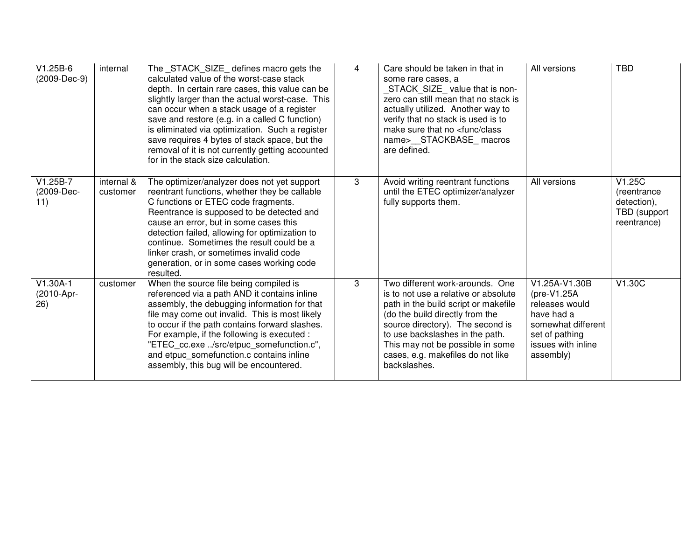| $V1.25B-6$<br>(2009-Dec-9)      | internal               | The _STACK_SIZE_ defines macro gets the<br>calculated value of the worst-case stack<br>depth. In certain rare cases, this value can be<br>slightly larger than the actual worst-case. This<br>can occur when a stack usage of a register<br>save and restore (e.g. in a called C function)<br>is eliminated via optimization. Such a register<br>save requires 4 bytes of stack space, but the<br>removal of it is not currently getting accounted<br>for in the stack size calculation. | 4 | Care should be taken in that in<br>some rare cases, a<br>STACK_SIZE_value that is non-<br>zero can still mean that no stack is<br>actually utilized. Another way to<br>verify that no stack is used is to<br>make sure that no <func class<br="">name&gt;__STACKBASE_macros<br/>are defined.</func>                | All versions                                                                                                                                      | <b>TBD</b>                                                           |
|---------------------------------|------------------------|------------------------------------------------------------------------------------------------------------------------------------------------------------------------------------------------------------------------------------------------------------------------------------------------------------------------------------------------------------------------------------------------------------------------------------------------------------------------------------------|---|--------------------------------------------------------------------------------------------------------------------------------------------------------------------------------------------------------------------------------------------------------------------------------------------------------------------|---------------------------------------------------------------------------------------------------------------------------------------------------|----------------------------------------------------------------------|
| $V1.25B-7$<br>(2009-Dec-<br>11) | internal &<br>customer | The optimizer/analyzer does not yet support<br>reentrant functions, whether they be callable<br>C functions or ETEC code fragments.<br>Reentrance is supposed to be detected and<br>cause an error, but in some cases this<br>detection failed, allowing for optimization to<br>continue. Sometimes the result could be a<br>linker crash, or sometimes invalid code<br>generation, or in some cases working code<br>resulted.                                                           | 3 | Avoid writing reentrant functions<br>until the ETEC optimizer/analyzer<br>fully supports them.                                                                                                                                                                                                                     | All versions                                                                                                                                      | V1.25C<br>(reentrance)<br>detection),<br>TBD (support<br>reentrance) |
| $V1.30A-1$<br>(2010-Apr-<br>26) | customer               | When the source file being compiled is<br>referenced via a path AND it contains inline<br>assembly, the debugging information for that<br>file may come out invalid. This is most likely<br>to occur if the path contains forward slashes.<br>For example, if the following is executed :<br>"ETEC_cc.exe /src/etpuc_somefunction.c",<br>and etpuc_somefunction.c contains inline<br>assembly, this bug will be encountered.                                                             | 3 | Two different work-arounds. One<br>is to not use a relative or absolute<br>path in the build script or makefile<br>(do the build directly from the<br>source directory). The second is<br>to use backslashes in the path.<br>This may not be possible in some<br>cases, e.g. makefiles do not like<br>backslashes. | V1.25A-V1.30B<br>$(\text{pre-V1.25A})$<br>releases would<br>have had a<br>somewhat different<br>set of pathing<br>issues with inline<br>assembly) | V1.30C                                                               |